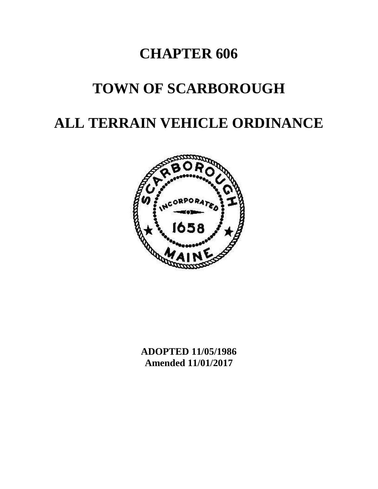# **CHAPTER 606**

# **TOWN OF SCARBOROUGH**

# **ALL TERRAIN VEHICLE ORDINANCE**



**ADOPTED 11/05/1986 Amended 11/01/2017**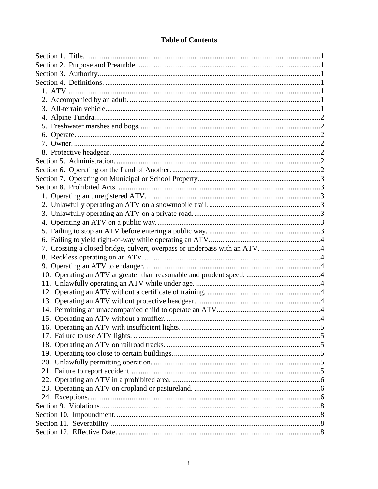# **Table of Contents**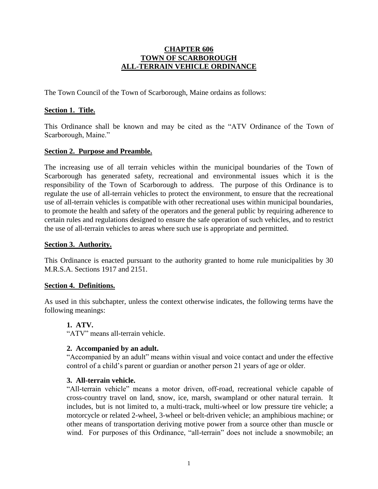# **CHAPTER 606 TOWN OF SCARBOROUGH ALL-TERRAIN VEHICLE ORDINANCE**

The Town Council of the Town of Scarborough, Maine ordains as follows:

## <span id="page-2-0"></span>**Section 1. Title.**

This Ordinance shall be known and may be cited as the "ATV Ordinance of the Town of Scarborough, Maine."

## <span id="page-2-1"></span>**Section 2. Purpose and Preamble.**

The increasing use of all terrain vehicles within the municipal boundaries of the Town of Scarborough has generated safety, recreational and environmental issues which it is the responsibility of the Town of Scarborough to address. The purpose of this Ordinance is to regulate the use of all-terrain vehicles to protect the environment, to ensure that the recreational use of all-terrain vehicles is compatible with other recreational uses within municipal boundaries, to promote the health and safety of the operators and the general public by requiring adherence to certain rules and regulations designed to ensure the safe operation of such vehicles, and to restrict the use of all-terrain vehicles to areas where such use is appropriate and permitted.

#### <span id="page-2-2"></span>**Section 3. Authority.**

This Ordinance is enacted pursuant to the authority granted to home rule municipalities by 30 M.R.S.A. Sections 1917 and 2151.

#### <span id="page-2-3"></span>**Section 4. Definitions.**

<span id="page-2-4"></span>As used in this subchapter, unless the context otherwise indicates, the following terms have the following meanings:

#### **1. ATV.**

"ATV" means all-terrain vehicle.

#### <span id="page-2-5"></span>**2. Accompanied by an adult.**

"Accompanied by an adult" means within visual and voice contact and under the effective control of a child's parent or guardian or another person 21 years of age or older.

#### <span id="page-2-6"></span>**3. All-terrain vehicle.**

"All-terrain vehicle" means a motor driven, off-road, recreational vehicle capable of cross-country travel on land, snow, ice, marsh, swampland or other natural terrain. It includes, but is not limited to, a multi-track, multi-wheel or low pressure tire vehicle; a motorcycle or related 2-wheel, 3-wheel or belt-driven vehicle; an amphibious machine; or other means of transportation deriving motive power from a source other than muscle or wind. For purposes of this Ordinance, "all-terrain" does not include a snowmobile; an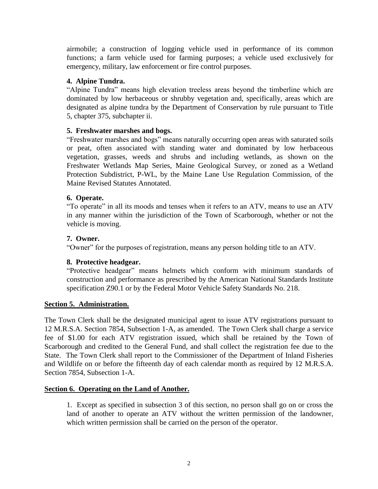airmobile; a construction of logging vehicle used in performance of its common functions; a farm vehicle used for farming purposes; a vehicle used exclusively for emergency, military, law enforcement or fire control purposes.

# <span id="page-3-0"></span>**4. Alpine Tundra.**

"Alpine Tundra" means high elevation treeless areas beyond the timberline which are dominated by low herbaceous or shrubby vegetation and, specifically, areas which are designated as alpine tundra by the Department of Conservation by rule pursuant to Title 5, chapter 375, subchapter ii.

# <span id="page-3-1"></span>**5. Freshwater marshes and bogs.**

"Freshwater marshes and bogs" means naturally occurring open areas with saturated soils or peat, often associated with standing water and dominated by low herbaceous vegetation, grasses, weeds and shrubs and including wetlands, as shown on the Freshwater Wetlands Map Series, Maine Geological Survey, or zoned as a Wetland Protection Subdistrict, P-WL, by the Maine Lane Use Regulation Commission, of the Maine Revised Statutes Annotated.

# <span id="page-3-2"></span>**6. Operate.**

"To operate" in all its moods and tenses when it refers to an ATV, means to use an ATV in any manner within the jurisdiction of the Town of Scarborough, whether or not the vehicle is moving.

# <span id="page-3-3"></span>**7. Owner.**

"Owner" for the purposes of registration, means any person holding title to an ATV.

# <span id="page-3-4"></span>**8. Protective headgear.**

"Protective headgear" means helmets which conform with minimum standards of construction and performance as prescribed by the American National Standards Institute specification Z90.1 or by the Federal Motor Vehicle Safety Standards No. 218.

# <span id="page-3-5"></span>**Section 5. Administration.**

The Town Clerk shall be the designated municipal agent to issue ATV registrations pursuant to 12 M.R.S.A. Section 7854, Subsection 1-A, as amended. The Town Clerk shall charge a service fee of \$1.00 for each ATV registration issued, which shall be retained by the Town of Scarborough and credited to the General Fund, and shall collect the registration fee due to the State. The Town Clerk shall report to the Commissioner of the Department of Inland Fisheries and Wildlife on or before the fifteenth day of each calendar month as required by 12 M.R.S.A. Section 7854, Subsection 1-A.

# <span id="page-3-6"></span>**Section 6. Operating on the Land of Another.**

1. Except as specified in subsection 3 of this section, no person shall go on or cross the land of another to operate an ATV without the written permission of the landowner, which written permission shall be carried on the person of the operator.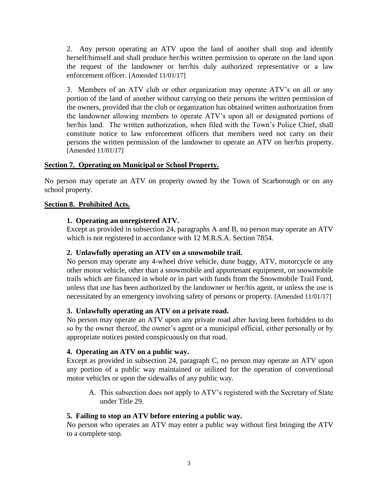2. Any person operating an ATV upon the land of another shall stop and identify herself/himself and shall produce her/his written permission to operate on the land upon the request of the landowner or her/his duly authorized representative or a law enforcement officer. [Amended 11/01/17]

3. Members of an ATV club or other organization may operate ATV's on all or any portion of the land of another without carrying on their persons the written permission of the owners, provided that the club or organization has obtained written authorization from the landowner allowing members to operate ATV's upon all or designated portions of her/his land. The written authorization, when filed with the Town's Police Chief, shall constitute notice to law enforcement officers that members need not carry on their persons the written permission of the landowner to operate an ATV on her/his property. [Amended 11/01/17]

# <span id="page-4-0"></span>**Section 7. Operating on Municipal or School Property.**

No person may operate an ATV on property owned by the Town of Scarborough or on any school property.

# <span id="page-4-2"></span><span id="page-4-1"></span>**Section 8. Prohibited Acts.**

# **1. Operating an unregistered ATV.**

Except as provided in subsection 24, paragraphs A and B, no person may operate an ATV which is not registered in accordance with 12 M.R.S.A. Section 7854.

# <span id="page-4-3"></span>**2. Unlawfully operating an ATV on a snowmobile trail.**

No person may operate any 4-wheel drive vehicle, dune buggy, ATV, motorcycle or any other motor vehicle, other than a snowmobile and appurtenant equipment, on snowmobile trails which are financed in whole or in part with funds from the Snowmobile Trail Fund, unless that use has been authorized by the landowner or her/his agent, or unless the use is necessitated by an emergency involving safety of persons or property. [Amended 11/01/17]

# <span id="page-4-4"></span>**3. Unlawfully operating an ATV on a private road.**

No person may operate an ATV upon any private road after having been forbidden to do so by the owner thereof, the owner's agent or a municipal official, either personally or by appropriate notices posted conspicuously on that road.

# <span id="page-4-5"></span>**4. Operating an ATV on a public way.**

Except as provided in subsection 24, paragraph C, no person may operate an ATV upon any portion of a public way maintained or utilized for the operation of conventional motor vehicles or upon the sidewalks of any public way.

A. This subsection does not apply to ATV's registered with the Secretary of State under Title 29.

# <span id="page-4-6"></span>**5. Failing to stop an ATV before entering a public way.**

No person who operates an ATV may enter a public way without first bringing the ATV to a complete stop.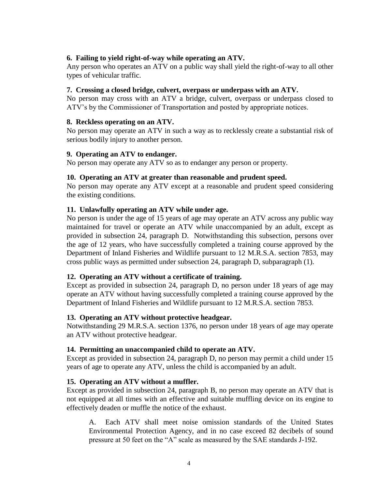# <span id="page-5-0"></span>**6. Failing to yield right-of-way while operating an ATV.**

Any person who operates an ATV on a public way shall yield the right-of-way to all other types of vehicular traffic.

# <span id="page-5-1"></span>**7. Crossing a closed bridge, culvert, overpass or underpass with an ATV.**

No person may cross with an ATV a bridge, culvert, overpass or underpass closed to ATV's by the Commissioner of Transportation and posted by appropriate notices.

## <span id="page-5-2"></span>**8. Reckless operating on an ATV.**

No person may operate an ATV in such a way as to recklessly create a substantial risk of serious bodily injury to another person.

## <span id="page-5-3"></span>**9. Operating an ATV to endanger.**

No person may operate any ATV so as to endanger any person or property.

## <span id="page-5-4"></span>**10. Operating an ATV at greater than reasonable and prudent speed.**

No person may operate any ATV except at a reasonable and prudent speed considering the existing conditions.

# <span id="page-5-5"></span>**11. Unlawfully operating an ATV while under age.**

No person is under the age of 15 years of age may operate an ATV across any public way maintained for travel or operate an ATV while unaccompanied by an adult, except as provided in subsection 24, paragraph D. Notwithstanding this subsection, persons over the age of 12 years, who have successfully completed a training course approved by the Department of Inland Fisheries and Wildlife pursuant to 12 M.R.S.A. section 7853, may cross public ways as permitted under subsection 24, paragraph D, subparagraph (1).

# <span id="page-5-6"></span>**12. Operating an ATV without a certificate of training.**

Except as provided in subsection 24, paragraph D, no person under 18 years of age may operate an ATV without having successfully completed a training course approved by the Department of Inland Fisheries and Wildlife pursuant to 12 M.R.S.A. section 7853.

# <span id="page-5-7"></span>**13. Operating an ATV without protective headgear.**

Notwithstanding 29 M.R.S.A. section 1376, no person under 18 years of age may operate an ATV without protective headgear.

# <span id="page-5-8"></span>**14. Permitting an unaccompanied child to operate an ATV.**

Except as provided in subsection 24, paragraph D, no person may permit a child under 15 years of age to operate any ATV, unless the child is accompanied by an adult.

# <span id="page-5-9"></span>**15. Operating an ATV without a muffler.**

Except as provided in subsection 24, paragraph B, no person may operate an ATV that is not equipped at all times with an effective and suitable muffling device on its engine to effectively deaden or muffle the notice of the exhaust.

A. Each ATV shall meet noise omission standards of the United States Environmental Protection Agency, and in no case exceed 82 decibels of sound pressure at 50 feet on the "A" scale as measured by the SAE standards J-192.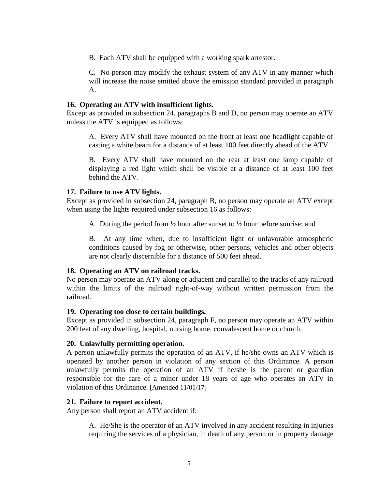B. Each ATV shall be equipped with a working spark arrestor.

C. No person may modify the exhaust system of any ATV in any manner which will increase the noise emitted above the emission standard provided in paragraph A.

## <span id="page-6-0"></span>**16. Operating an ATV with insufficient lights.**

Except as provided in subsection 24, paragraphs B and D, no person may operate an ATV unless the ATV is equipped as follows:

A. Every ATV shall have mounted on the front at least one headlight capable of casting a white beam for a distance of at least 100 feet directly ahead of the ATV.

B. Every ATV shall have mounted on the rear at least one lamp capable of displaying a red light which shall be visible at a distance of at least 100 feet behind the ATV.

# <span id="page-6-1"></span>**17. Failure to use ATV lights.**

Except as provided in subsection 24, paragraph B, no person may operate an ATV except when using the lights required under subsection 16 as follows:

A. During the period from  $\frac{1}{2}$  hour after sunset to  $\frac{1}{2}$  hour before sunrise; and

B. At any time when, due to insufficient light or unfavorable atmospheric conditions caused by fog or otherwise, other persons, vehicles and other objects are not clearly discernible for a distance of 500 feet ahead.

# <span id="page-6-2"></span>**18. Operating an ATV on railroad tracks.**

No person may operate an ATV along or adjacent and parallel to the tracks of any railroad within the limits of the railroad right-of-way without written permission from the railroad.

#### <span id="page-6-3"></span>**19. Operating too close to certain buildings.**

Except as provided in subsection 24, paragraph F, no person may operate an ATV within 200 feet of any dwelling, hospital, nursing home, convalescent home or church.

# <span id="page-6-4"></span>**20. Unlawfully permitting operation.**

A person unlawfully permits the operation of an ATV, if he/she owns an ATV which is operated by another person in violation of any section of this Ordinance. A person unlawfully permits the operation of an ATV if he/she is the parent or guardian responsible for the care of a minor under 18 years of age who operates an ATV in violation of this Ordinance. [Amended 11/01/17]

#### <span id="page-6-5"></span>**21. Failure to report accident.**

Any person shall report an ATV accident if:

A. He/She is the operator of an ATV involved in any accident resulting in injuries requiring the services of a physician, in death of any person or in property damage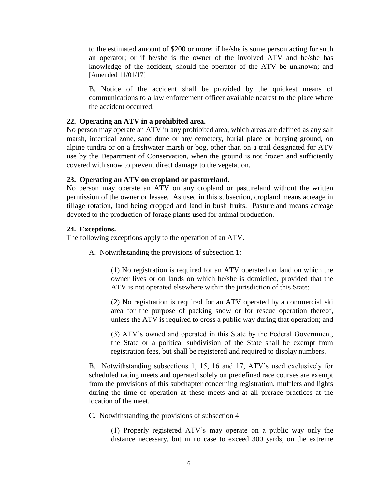to the estimated amount of \$200 or more; if he/she is some person acting for such an operator; or if he/she is the owner of the involved ATV and he/she has knowledge of the accident, should the operator of the ATV be unknown; and [Amended 11/01/17]

B. Notice of the accident shall be provided by the quickest means of communications to a law enforcement officer available nearest to the place where the accident occurred.

## <span id="page-7-0"></span>**22. Operating an ATV in a prohibited area.**

No person may operate an ATV in any prohibited area, which areas are defined as any salt marsh, intertidal zone, sand dune or any cemetery, burial place or burying ground, on alpine tundra or on a freshwater marsh or bog, other than on a trail designated for ATV use by the Department of Conservation, when the ground is not frozen and sufficiently covered with snow to prevent direct damage to the vegetation.

## <span id="page-7-1"></span>**23. Operating an ATV on cropland or pastureland.**

No person may operate an ATV on any cropland or pastureland without the written permission of the owner or lessee. As used in this subsection, cropland means acreage in tillage rotation, land being cropped and land in bush fruits. Pastureland means acreage devoted to the production of forage plants used for animal production.

# <span id="page-7-2"></span>**24. Exceptions.**

The following exceptions apply to the operation of an ATV.

A. Notwithstanding the provisions of subsection 1:

(1) No registration is required for an ATV operated on land on which the owner lives or on lands on which he/she is domiciled, provided that the ATV is not operated elsewhere within the jurisdiction of this State;

(2) No registration is required for an ATV operated by a commercial ski area for the purpose of packing snow or for rescue operation thereof, unless the ATV is required to cross a public way during that operation; and

(3) ATV's owned and operated in this State by the Federal Government, the State or a political subdivision of the State shall be exempt from registration fees, but shall be registered and required to display numbers.

B. Notwithstanding subsections 1, 15, 16 and 17, ATV's used exclusively for scheduled racing meets and operated solely on predefined race courses are exempt from the provisions of this subchapter concerning registration, mufflers and lights during the time of operation at these meets and at all prerace practices at the location of the meet.

C. Notwithstanding the provisions of subsection 4:

(1) Properly registered ATV's may operate on a public way only the distance necessary, but in no case to exceed 300 yards, on the extreme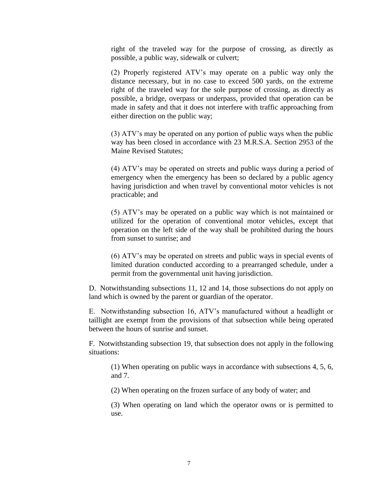right of the traveled way for the purpose of crossing, as directly as possible, a public way, sidewalk or culvert;

(2) Properly registered ATV's may operate on a public way only the distance necessary, but in no case to exceed 500 yards, on the extreme right of the traveled way for the sole purpose of crossing, as directly as possible, a bridge, overpass or underpass, provided that operation can be made in safety and that it does not interfere with traffic approaching from either direction on the public way;

(3) ATV's may be operated on any portion of public ways when the public way has been closed in accordance with 23 M.R.S.A. Section 2953 of the Maine Revised Statutes;

(4) ATV's may be operated on streets and public ways during a period of emergency when the emergency has been so declared by a public agency having jurisdiction and when travel by conventional motor vehicles is not practicable; and

(5) ATV's may be operated on a public way which is not maintained or utilized for the operation of conventional motor vehicles, except that operation on the left side of the way shall be prohibited during the hours from sunset to sunrise; and

(6) ATV's may be operated on streets and public ways in special events of limited duration conducted according to a prearranged schedule, under a permit from the governmental unit having jurisdiction.

D. Notwithstanding subsections 11, 12 and 14, those subsections do not apply on land which is owned by the parent or guardian of the operator.

E. Notwithstanding subsection 16, ATV's manufactured without a headlight or taillight are exempt from the provisions of that subsection while being operated between the hours of sunrise and sunset.

F. Notwithstanding subsection 19, that subsection does not apply in the following situations:

(1) When operating on public ways in accordance with subsections 4, 5, 6, and 7.

(2) When operating on the frozen surface of any body of water; and

(3) When operating on land which the operator owns or is permitted to use.